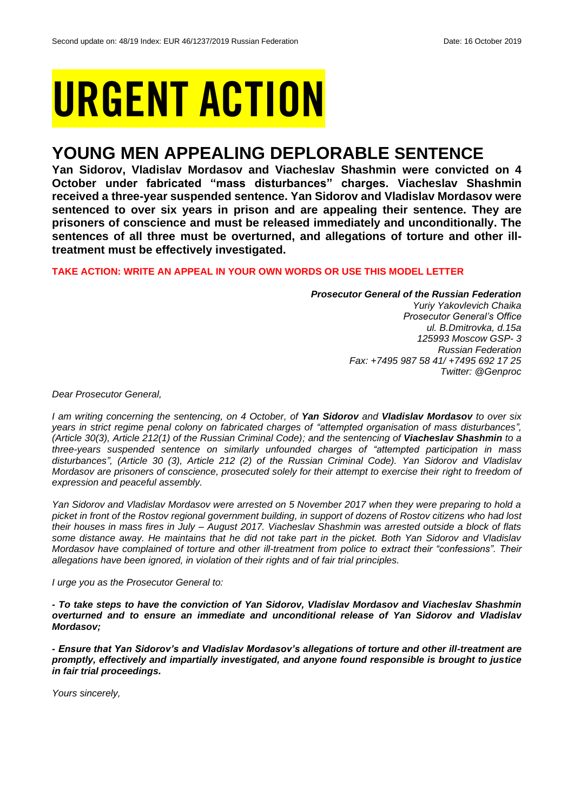# URGENT ACTION

## **YOUNG MEN APPEALING DEPLORABLE SENTENCE**

**Yan Sidorov, Vladislav Mordasov and Viacheslav Shashmin were convicted on 4 October under fabricated "mass disturbances" charges. Viacheslav Shashmin received a three-year suspended sentence. Yan Sidorov and Vladislav Mordasov were sentenced to over six years in prison and are appealing their sentence. They are prisoners of conscience and must be released immediately and unconditionally. The sentences of all three must be overturned, and allegations of torture and other illtreatment must be effectively investigated.**

## **TAKE ACTION: WRITE AN APPEAL IN YOUR OWN WORDS OR USE THIS MODEL LETTER**

*Prosecutor General of the Russian Federation Yuriy Yakovlevich Chaika Prosecutor General's Office ul. B.Dmitrovka, d.15a 125993 Moscow GSP- 3 Russian Federation Fax: +7495 987 58 41/ +7495 692 17 25 Twitter: @Genproc*

*Dear Prosecutor General,*

*I am writing concerning the sentencing, on 4 October, of Yan Sidorov and Vladislav Mordasov to over six years in strict regime penal colony on fabricated charges of "attempted organisation of mass disturbances", (Article 30(3), Article 212(1) of the Russian Criminal Code); and the sentencing of Viacheslav Shashmin to a three-years suspended sentence on similarly unfounded charges of "attempted participation in mass disturbances", (Article 30 (3), Article 212 (2) of the Russian Criminal Code). Yan Sidorov and Vladislav Mordasov are prisoners of conscience, prosecuted solely for their attempt to exercise their right to freedom of expression and peaceful assembly.*

*Yan Sidorov and Vladislav Mordasov were arrested on 5 November 2017 when they were preparing to hold a picket in front of the Rostov regional government building, in support of dozens of Rostov citizens who had lost their houses in mass fires in July – August 2017. Viacheslav Shashmin was arrested outside a block of flats some distance away. He maintains that he did not take part in the picket. Both Yan Sidorov and Vladislav Mordasov have complained of torture and other ill-treatment from police to extract their "confessions". Their allegations have been ignored, in violation of their rights and of fair trial principles.*

*I urge you as the Prosecutor General to:* 

*- To take steps to have the conviction of Yan Sidorov, Vladislav Mordasov and Viacheslav Shashmin overturned and to ensure an immediate and unconditional release of Yan Sidorov and Vladislav Mordasov;*

*- Ensure that Yan Sidorov's and Vladislav Mordasov's allegations of torture and other ill-treatment are promptly, effectively and impartially investigated, and anyone found responsible is brought to justice in fair trial proceedings.*

*Yours sincerely,*